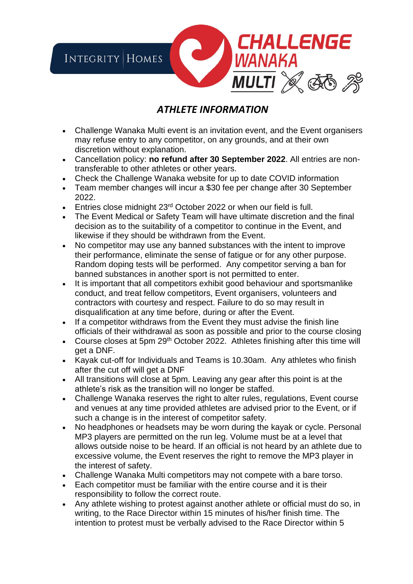

## *ATHLETE INFORMATION*

- Challenge Wanaka Multi event is an invitation event, and the Event organisers may refuse entry to any competitor, on any grounds, and at their own discretion without explanation.
- Cancellation policy: **no refund after 30 September 2022**. All entries are nontransferable to other athletes or other years.
- Check the Challenge Wanaka website for up to date COVID information
- Team member changes will incur a \$30 fee per change after 30 September 2022.
- Entries close midnight 23<sup>rd</sup> October 2022 or when our field is full.
- The Event Medical or Safety Team will have ultimate discretion and the final decision as to the suitability of a competitor to continue in the Event, and likewise if they should be withdrawn from the Event.
- No competitor may use any banned substances with the intent to improve their performance, eliminate the sense of fatigue or for any other purpose. Random doping tests will be performed. Any competitor serving a ban for banned substances in another sport is not permitted to enter.
- It is important that all competitors exhibit good behaviour and sportsmanlike conduct, and treat fellow competitors, Event organisers, volunteers and contractors with courtesy and respect. Failure to do so may result in disqualification at any time before, during or after the Event.
- If a competitor withdraws from the Event they must advise the finish line officials of their withdrawal as soon as possible and prior to the course closing
- Course closes at 5pm 29<sup>th</sup> October 2022. Athletes finishing after this time will get a DNF.
- Kayak cut-off for Individuals and Teams is 10.30am. Any athletes who finish after the cut off will get a DNF
- All transitions will close at 5pm. Leaving any gear after this point is at the athlete's risk as the transition will no longer be staffed.
- Challenge Wanaka reserves the right to alter rules, regulations, Event course and venues at any time provided athletes are advised prior to the Event, or if such a change is in the interest of competitor safety.
- No headphones or headsets may be worn during the kayak or cycle. Personal MP3 players are permitted on the run leg. Volume must be at a level that allows outside noise to be heard. If an official is not heard by an athlete due to excessive volume, the Event reserves the right to remove the MP3 player in the interest of safety.
- Challenge Wanaka Multi competitors may not compete with a bare torso.
- Each competitor must be familiar with the entire course and it is their responsibility to follow the correct route.
- Any athlete wishing to protest against another athlete or official must do so, in writing, to the Race Director within 15 minutes of his/her finish time. The intention to protest must be verbally advised to the Race Director within 5